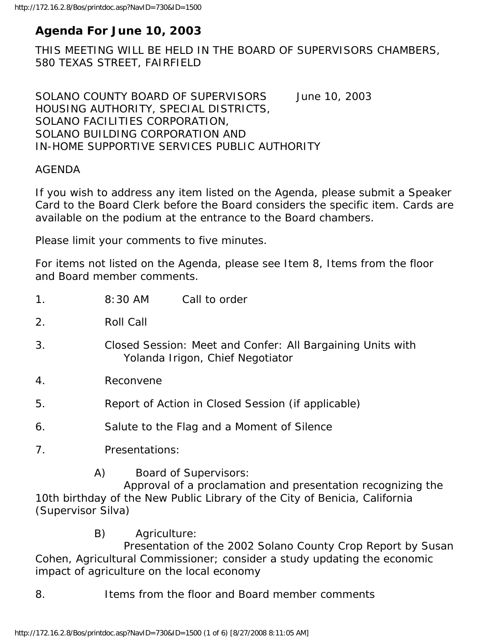# **Agenda For June 10, 2003**

THIS MEETING WILL BE HELD IN THE BOARD OF SUPERVISORS CHAMBERS, 580 TEXAS STREET, FAIRFIELD

SOLANO COUNTY BOARD OF SUPERVISORS June 10, 2003 HOUSING AUTHORITY, SPECIAL DISTRICTS, SOLANO FACILITIES CORPORATION, SOLANO BUILDING CORPORATION AND IN-HOME SUPPORTIVE SERVICES PUBLIC AUTHORITY

#### AGENDA

If you wish to address any item listed on the Agenda, please submit a Speaker Card to the Board Clerk before the Board considers the specific item. Cards are available on the podium at the entrance to the Board chambers.

Please limit your comments to five minutes.

For items not listed on the Agenda, please see Item 8, Items from the floor and Board member comments.

| 1 <sub>1</sub> | 8:30 AM                                            | Call to order                                                                                                                                                            |  |
|----------------|----------------------------------------------------|--------------------------------------------------------------------------------------------------------------------------------------------------------------------------|--|
| 2.             | Roll Call                                          |                                                                                                                                                                          |  |
| 3.             |                                                    | Closed Session: Meet and Confer: All Bargaining Units with<br>Yolanda Irigon, Chief Negotiator                                                                           |  |
| 4.             | Reconvene                                          |                                                                                                                                                                          |  |
| 5.             | Report of Action in Closed Session (if applicable) |                                                                                                                                                                          |  |
| 6.             |                                                    | Salute to the Flag and a Moment of Silence                                                                                                                               |  |
| 7 <sub>1</sub> | Presentations:                                     |                                                                                                                                                                          |  |
|                | A)                                                 | <b>Board of Supervisors:</b><br>Approval of a proclamation and presentation recognizing the<br>10th birthday of the New Public Library of the City of Repicia California |  |

10th birthday of the New Public Library of the City of Benicia, California (Supervisor Silva)

B) Agriculture:

 Presentation of the 2002 Solano County Crop Report by Susan Cohen, Agricultural Commissioner; consider a study updating the economic impact of agriculture on the local economy

8. Items from the floor and Board member comments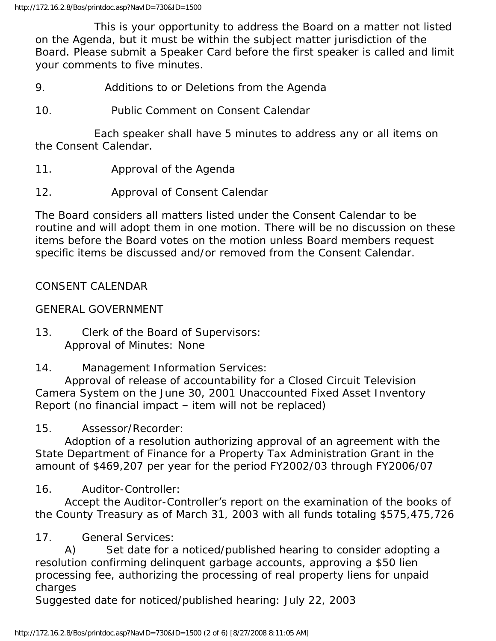This is your opportunity to address the Board on a matter not listed on the Agenda, but it must be within the subject matter jurisdiction of the Board. Please submit a Speaker Card before the first speaker is called and limit your comments to five minutes.

9. Additions to or Deletions from the Agenda

10. Public Comment on Consent Calendar

 Each speaker shall have 5 minutes to address any or all items on the Consent Calendar.

- 11. Approval of the Agenda
- 12. Approval of Consent Calendar

The Board considers all matters listed under the Consent Calendar to be routine and will adopt them in one motion. There will be no discussion on these items before the Board votes on the motion unless Board members request specific items be discussed and/or removed from the Consent Calendar.

## CONSENT CALENDAR

GENERAL GOVERNMENT

13. Clerk of the Board of Supervisors: Approval of Minutes: None

14. Management Information Services:

 Approval of release of accountability for a Closed Circuit Television Camera System on the June 30, 2001 Unaccounted Fixed Asset Inventory Report (no financial impact – item will not be replaced)

15. Assessor/Recorder:

 Adoption of a resolution authorizing approval of an agreement with the State Department of Finance for a Property Tax Administration Grant in the amount of \$469,207 per year for the period FY2002/03 through FY2006/07

16. Auditor-Controller:

 Accept the Auditor-Controller's report on the examination of the books of the County Treasury as of March 31, 2003 with all funds totaling \$575,475,726

17. General Services:

 A) Set date for a noticed/published hearing to consider adopting a resolution confirming delinquent garbage accounts, approving a \$50 lien processing fee, authorizing the processing of real property liens for unpaid charges

Suggested date for noticed/published hearing: July 22, 2003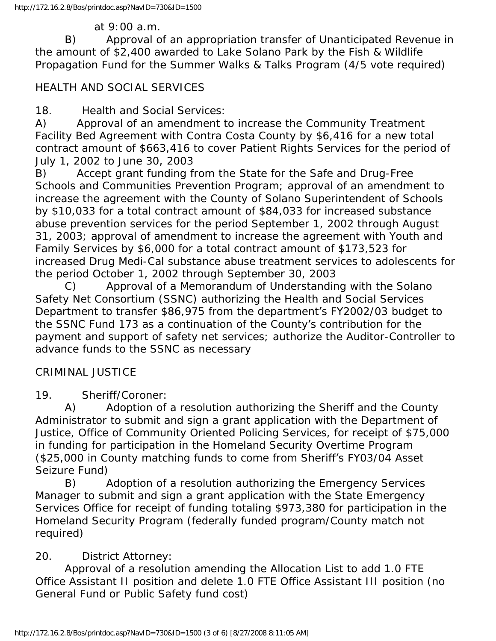#### at 9:00 a.m.

 B) Approval of an appropriation transfer of Unanticipated Revenue in the amount of \$2,400 awarded to Lake Solano Park by the Fish & Wildlife Propagation Fund for the Summer Walks & Talks Program (4/5 vote required)

## HEALTH AND SOCIAL SERVICES

18. Health and Social Services:

A) Approval of an amendment to increase the Community Treatment Facility Bed Agreement with Contra Costa County by \$6,416 for a new total contract amount of \$663,416 to cover Patient Rights Services for the period of July 1, 2002 to June 30, 2003

B) Accept grant funding from the State for the Safe and Drug-Free Schools and Communities Prevention Program; approval of an amendment to increase the agreement with the County of Solano Superintendent of Schools by \$10,033 for a total contract amount of \$84,033 for increased substance abuse prevention services for the period September 1, 2002 through August 31, 2003; approval of amendment to increase the agreement with Youth and Family Services by \$6,000 for a total contract amount of \$173,523 for increased Drug Medi-Cal substance abuse treatment services to adolescents for the period October 1, 2002 through September 30, 2003

 C) Approval of a Memorandum of Understanding with the Solano Safety Net Consortium (SSNC) authorizing the Health and Social Services Department to transfer \$86,975 from the department's FY2002/03 budget to the SSNC Fund 173 as a continuation of the County's contribution for the payment and support of safety net services; authorize the Auditor-Controller to advance funds to the SSNC as necessary

#### CRIMINAL JUSTICE

19. Sheriff/Coroner:

 A) Adoption of a resolution authorizing the Sheriff and the County Administrator to submit and sign a grant application with the Department of Justice, Office of Community Oriented Policing Services, for receipt of \$75,000 in funding for participation in the Homeland Security Overtime Program (\$25,000 in County matching funds to come from Sheriff's FY03/04 Asset Seizure Fund)

 B) Adoption of a resolution authorizing the Emergency Services Manager to submit and sign a grant application with the State Emergency Services Office for receipt of funding totaling \$973,380 for participation in the Homeland Security Program (federally funded program/County match not required)

## 20. District Attorney:

 Approval of a resolution amending the Allocation List to add 1.0 FTE Office Assistant II position and delete 1.0 FTE Office Assistant III position (no General Fund or Public Safety fund cost)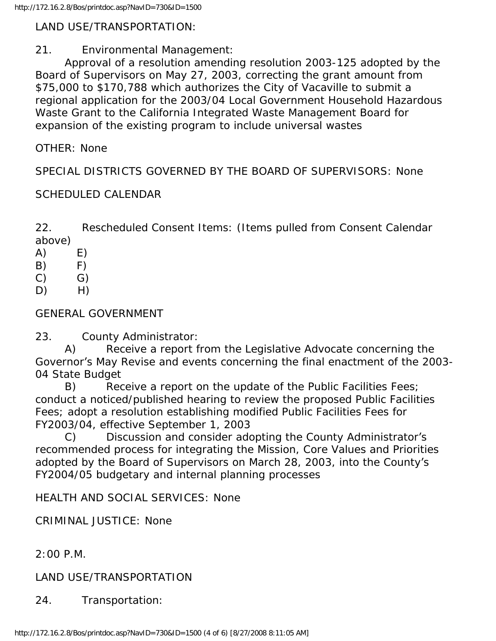#### LAND USE/TRANSPORTATION:

#### 21. Environmental Management:

 Approval of a resolution amending resolution 2003-125 adopted by the Board of Supervisors on May 27, 2003, correcting the grant amount from \$75,000 to \$170,788 which authorizes the City of Vacaville to submit a regional application for the 2003/04 Local Government Household Hazardous Waste Grant to the California Integrated Waste Management Board for expansion of the existing program to include universal wastes

OTHER: None

SPECIAL DISTRICTS GOVERNED BY THE BOARD OF SUPERVISORS: None

## SCHEDULED CALENDAR

22. Rescheduled Consent Items: (Items pulled from Consent Calendar above)

- $(A)$   $E)$
- B) F)
- $(C)$   $G)$
- $D)$  H)

## GENERAL GOVERNMENT

23. County Administrator:

 A) Receive a report from the Legislative Advocate concerning the Governor's May Revise and events concerning the final enactment of the 2003- 04 State Budget

 B) Receive a report on the update of the Public Facilities Fees; conduct a noticed/published hearing to review the proposed Public Facilities Fees; adopt a resolution establishing modified Public Facilities Fees for FY2003/04, effective September 1, 2003

 C) Discussion and consider adopting the County Administrator's recommended process for integrating the Mission, Core Values and Priorities adopted by the Board of Supervisors on March 28, 2003, into the County's FY2004/05 budgetary and internal planning processes

HEALTH AND SOCIAL SERVICES: None

CRIMINAL JUSTICE: None

2:00 P.M.

LAND USE/TRANSPORTATION

24. Transportation: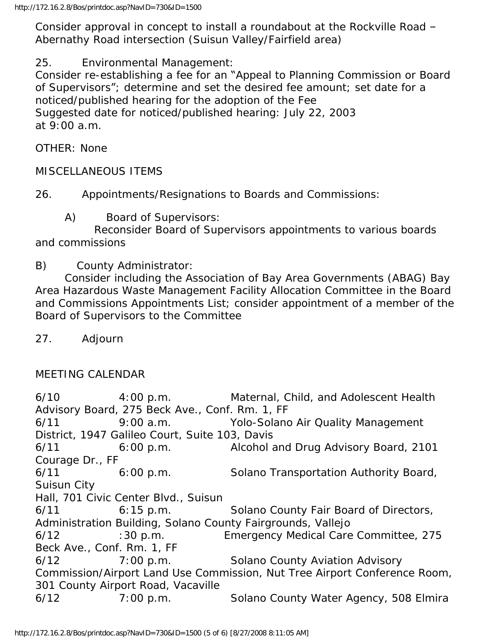Consider approval in concept to install a roundabout at the Rockville Road – Abernathy Road intersection (Suisun Valley/Fairfield area)

25. Environmental Management:

Consider re-establishing a fee for an "Appeal to Planning Commission or Board of Supervisors"; determine and set the desired fee amount; set date for a noticed/published hearing for the adoption of the Fee Suggested date for noticed/published hearing: July 22, 2003 at 9:00 a.m.

OTHER: None

MISCELLANEOUS ITEMS

26. Appointments/Resignations to Boards and Commissions:

A) Board of Supervisors:

 Reconsider Board of Supervisors appointments to various boards and commissions

B) County Administrator:

 Consider including the Association of Bay Area Governments (ABAG) Bay Area Hazardous Waste Management Facility Allocation Committee in the Board and Commissions Appointments List; consider appointment of a member of the Board of Supervisors to the Committee

27. Adjourn

## MEETING CALENDAR

6/10 4:00 p.m. Maternal, Child, and Adolescent Health Advisory Board, 275 Beck Ave., Conf. Rm. 1, FF 6/11 9:00 a.m. Yolo-Solano Air Quality Management District, 1947 Galileo Court, Suite 103, Davis 6/11 6:00 p.m. Alcohol and Drug Advisory Board, 2101 Courage Dr., FF 6/11 6:00 p.m. Solano Transportation Authority Board, Suisun City Hall, 701 Civic Center Blvd., Suisun 6/11 6:15 p.m. Solano County Fair Board of Directors, Administration Building, Solano County Fairgrounds, Vallejo 6/12 :30 p.m. Emergency Medical Care Committee, 275 Beck Ave., Conf. Rm. 1, FF 6/12 7:00 p.m. Solano County Aviation Advisory Commission/Airport Land Use Commission, Nut Tree Airport Conference Room, 301 County Airport Road, Vacaville 6/12 7:00 p.m. Solano County Water Agency, 508 Elmira